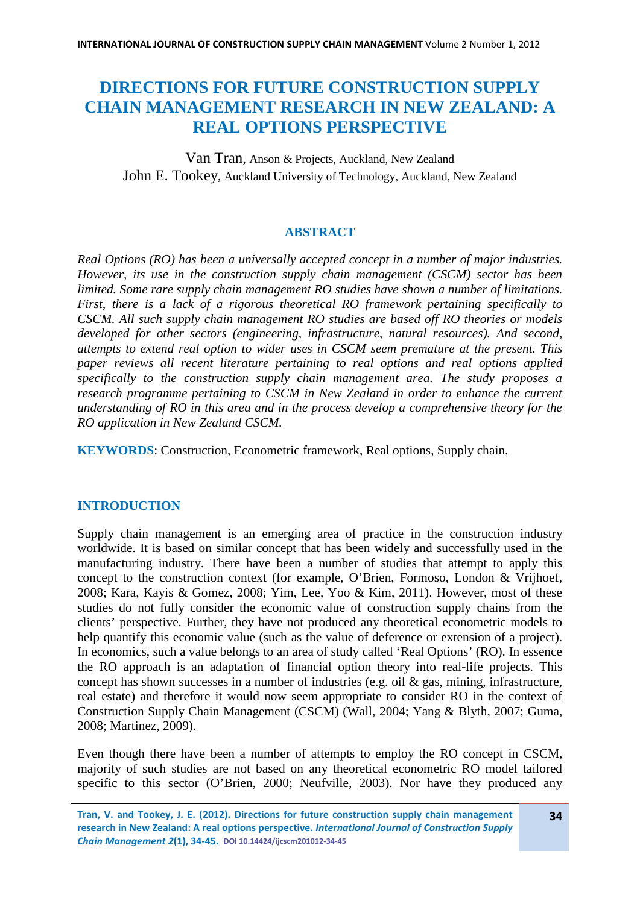# **DIRECTIONS FOR FUTURE CONSTRUCTION SUPPLY CHAIN MANAGEMENT RESEARCH IN NEW ZEALAND: A REAL OPTIONS PERSPECTIVE**

Van Tran, Anson & Projects, Auckland, New Zealand John E. Tookey, Auckland University of Technology, Auckland, New Zealand

# **ABSTRACT**

*Real Options (RO) has been a universally accepted concept in a number of major industries. However, its use in the construction supply chain management (CSCM) sector has been limited. Some rare supply chain management RO studies have shown a number of limitations. First, there is a lack of a rigorous theoretical RO framework pertaining specifically to CSCM. All such supply chain management RO studies are based off RO theories or models developed for other sectors (engineering, infrastructure, natural resources). And second, attempts to extend real option to wider uses in CSCM seem premature at the present. This paper reviews all recent literature pertaining to real options and real options applied specifically to the construction supply chain management area. The study proposes a research programme pertaining to CSCM in New Zealand in order to enhance the current understanding of RO in this area and in the process develop a comprehensive theory for the RO application in New Zealand CSCM.*

**KEYWORDS**: Construction, Econometric framework, Real options, Supply chain.

# **INTRODUCTION**

Supply chain management is an emerging area of practice in the construction industry worldwide. It is based on similar concept that has been widely and successfully used in the manufacturing industry. There have been a number of studies that attempt to apply this concept to the construction context (for example, O'Brien, Formoso, London & Vrijhoef, 2008; Kara, Kayis & Gomez, 2008; Yim, Lee, Yoo & Kim, 2011). However, most of these studies do not fully consider the economic value of construction supply chains from the clients' perspective. Further, they have not produced any theoretical econometric models to help quantify this economic value (such as the value of deference or extension of a project). In economics, such a value belongs to an area of study called 'Real Options' (RO). In essence the RO approach is an adaptation of financial option theory into real-life projects. This concept has shown successes in a number of industries (e.g. oil & gas, mining, infrastructure, real estate) and therefore it would now seem appropriate to consider RO in the context of Construction Supply Chain Management (CSCM) (Wall, 2004; Yang & Blyth, 2007; Guma, 2008; Martinez, 2009).

Even though there have been a number of attempts to employ the RO concept in CSCM, majority of such studies are not based on any theoretical econometric RO model tailored specific to this sector (O'Brien, 2000; Neufville, 2003). Nor have they produced any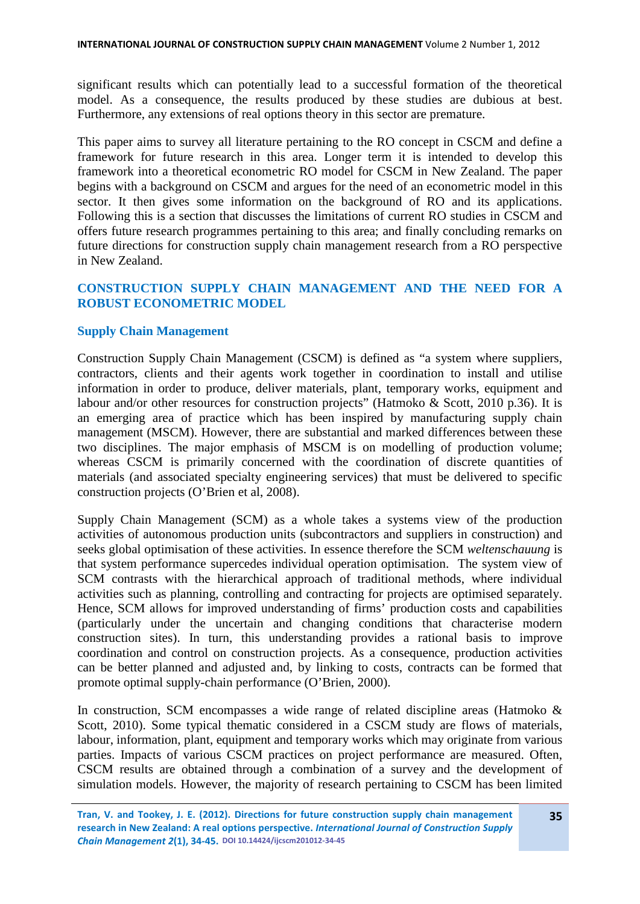significant results which can potentially lead to a successful formation of the theoretical model. As a consequence, the results produced by these studies are dubious at best. Furthermore, any extensions of real options theory in this sector are premature.

This paper aims to survey all literature pertaining to the RO concept in CSCM and define a framework for future research in this area. Longer term it is intended to develop this framework into a theoretical econometric RO model for CSCM in New Zealand. The paper begins with a background on CSCM and argues for the need of an econometric model in this sector. It then gives some information on the background of RO and its applications. Following this is a section that discusses the limitations of current RO studies in CSCM and offers future research programmes pertaining to this area; and finally concluding remarks on future directions for construction supply chain management research from a RO perspective in New Zealand.

# **CONSTRUCTION SUPPLY CHAIN MANAGEMENT AND THE NEED FOR A ROBUST ECONOMETRIC MODEL**

# **Supply Chain Management**

Construction Supply Chain Management (CSCM) is defined as "a system where suppliers, contractors, clients and their agents work together in coordination to install and utilise information in order to produce, deliver materials, plant, temporary works, equipment and labour and/or other resources for construction projects" (Hatmoko & Scott, 2010 p.36). It is an emerging area of practice which has been inspired by manufacturing supply chain management (MSCM). However, there are substantial and marked differences between these two disciplines. The major emphasis of MSCM is on modelling of production volume; whereas CSCM is primarily concerned with the coordination of discrete quantities of materials (and associated specialty engineering services) that must be delivered to specific construction projects (O'Brien et al, 2008).

Supply Chain Management (SCM) as a whole takes a systems view of the production activities of autonomous production units (subcontractors and suppliers in construction) and seeks global optimisation of these activities. In essence therefore the SCM *weltenschauung* is that system performance supercedes individual operation optimisation. The system view of SCM contrasts with the hierarchical approach of traditional methods, where individual activities such as planning, controlling and contracting for projects are optimised separately. Hence, SCM allows for improved understanding of firms' production costs and capabilities (particularly under the uncertain and changing conditions that characterise modern construction sites). In turn, this understanding provides a rational basis to improve coordination and control on construction projects. As a consequence, production activities can be better planned and adjusted and, by linking to costs, contracts can be formed that promote optimal supply-chain performance (O'Brien, 2000).

In construction, SCM encompasses a wide range of related discipline areas (Hatmoko  $\&$ Scott, 2010). Some typical thematic considered in a CSCM study are flows of materials, labour, information, plant, equipment and temporary works which may originate from various parties. Impacts of various CSCM practices on project performance are measured. Often, CSCM results are obtained through a combination of a survey and the development of simulation models. However, the majority of research pertaining to CSCM has been limited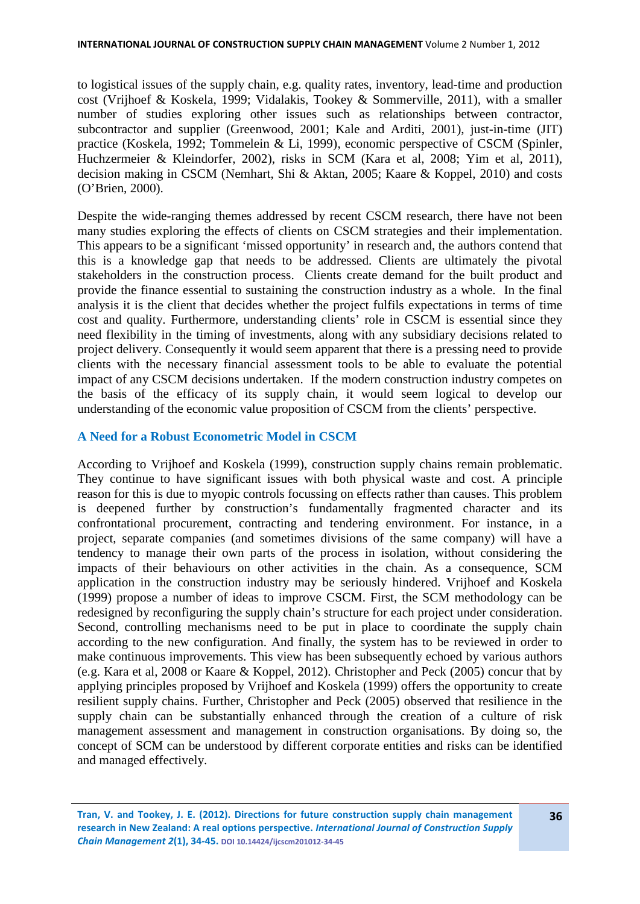to logistical issues of the supply chain, e.g. quality rates, inventory, lead-time and production cost (Vrijhoef & Koskela, 1999; Vidalakis, Tookey & Sommerville, 2011), with a smaller number of studies exploring other issues such as relationships between contractor, subcontractor and supplier (Greenwood, 2001; Kale and Arditi, 2001), just-in-time (JIT) practice (Koskela, 1992; Tommelein & Li, 1999), economic perspective of CSCM (Spinler, Huchzermeier & Kleindorfer, 2002), risks in SCM (Kara et al, 2008; Yim et al, 2011), decision making in CSCM (Nemhart, Shi & Aktan, 2005; Kaare & Koppel, 2010) and costs (O'Brien, 2000).

Despite the wide-ranging themes addressed by recent CSCM research, there have not been many studies exploring the effects of clients on CSCM strategies and their implementation. This appears to be a significant 'missed opportunity' in research and, the authors contend that this is a knowledge gap that needs to be addressed. Clients are ultimately the pivotal stakeholders in the construction process. Clients create demand for the built product and provide the finance essential to sustaining the construction industry as a whole. In the final analysis it is the client that decides whether the project fulfils expectations in terms of time cost and quality. Furthermore, understanding clients' role in CSCM is essential since they need flexibility in the timing of investments, along with any subsidiary decisions related to project delivery. Consequently it would seem apparent that there is a pressing need to provide clients with the necessary financial assessment tools to be able to evaluate the potential impact of any CSCM decisions undertaken. If the modern construction industry competes on the basis of the efficacy of its supply chain, it would seem logical to develop our understanding of the economic value proposition of CSCM from the clients' perspective.

# **A Need for a Robust Econometric Model in CSCM**

According to Vrijhoef and Koskela (1999), construction supply chains remain problematic. They continue to have significant issues with both physical waste and cost. A principle reason for this is due to myopic controls focussing on effects rather than causes. This problem is deepened further by construction's fundamentally fragmented character and its confrontational procurement, contracting and tendering environment. For instance, in a project, separate companies (and sometimes divisions of the same company) will have a tendency to manage their own parts of the process in isolation, without considering the impacts of their behaviours on other activities in the chain. As a consequence, SCM application in the construction industry may be seriously hindered. Vrijhoef and Koskela (1999) propose a number of ideas to improve CSCM. First, the SCM methodology can be redesigned by reconfiguring the supply chain's structure for each project under consideration. Second, controlling mechanisms need to be put in place to coordinate the supply chain according to the new configuration. And finally, the system has to be reviewed in order to make continuous improvements. This view has been subsequently echoed by various authors (e.g. Kara et al, 2008 or Kaare & Koppel, 2012). Christopher and Peck (2005) concur that by applying principles proposed by Vrijhoef and Koskela (1999) offers the opportunity to create resilient supply chains. Further, Christopher and Peck (2005) observed that resilience in the supply chain can be substantially enhanced through the creation of a culture of risk management assessment and management in construction organisations. By doing so, the concept of SCM can be understood by different corporate entities and risks can be identified and managed effectively.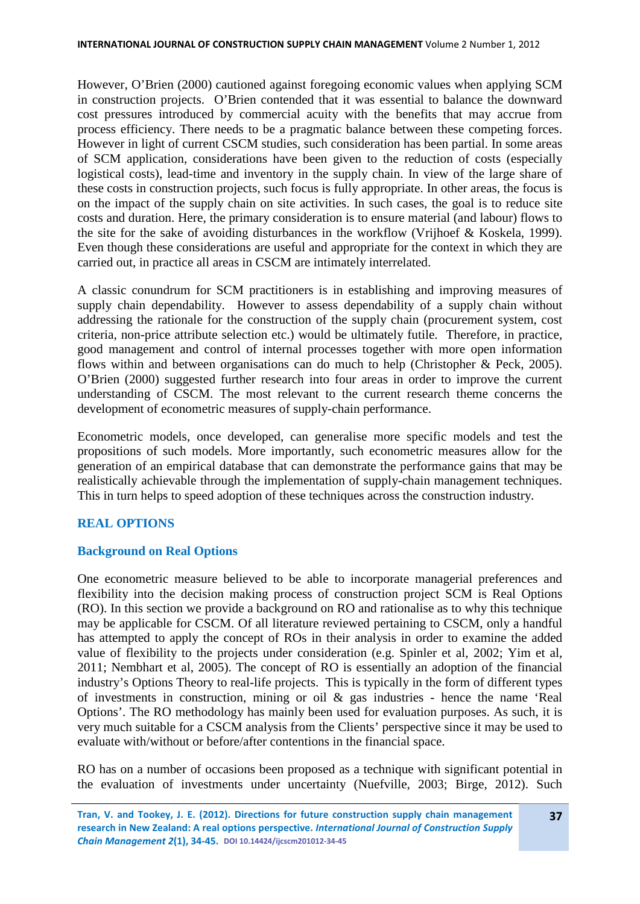However, O'Brien (2000) cautioned against foregoing economic values when applying SCM in construction projects. O'Brien contended that it was essential to balance the downward cost pressures introduced by commercial acuity with the benefits that may accrue from process efficiency. There needs to be a pragmatic balance between these competing forces. However in light of current CSCM studies, such consideration has been partial. In some areas of SCM application, considerations have been given to the reduction of costs (especially logistical costs), lead-time and inventory in the supply chain. In view of the large share of these costs in construction projects, such focus is fully appropriate. In other areas, the focus is on the impact of the supply chain on site activities. In such cases, the goal is to reduce site costs and duration. Here, the primary consideration is to ensure material (and labour) flows to the site for the sake of avoiding disturbances in the workflow (Vrijhoef & Koskela, 1999). Even though these considerations are useful and appropriate for the context in which they are carried out, in practice all areas in CSCM are intimately interrelated.

A classic conundrum for SCM practitioners is in establishing and improving measures of supply chain dependability. However to assess dependability of a supply chain without addressing the rationale for the construction of the supply chain (procurement system, cost criteria, non-price attribute selection etc.) would be ultimately futile. Therefore, in practice, good management and control of internal processes together with more open information flows within and between organisations can do much to help (Christopher & Peck, 2005). O'Brien (2000) suggested further research into four areas in order to improve the current understanding of CSCM. The most relevant to the current research theme concerns the development of econometric measures of supply-chain performance.

Econometric models, once developed, can generalise more specific models and test the propositions of such models. More importantly, such econometric measures allow for the generation of an empirical database that can demonstrate the performance gains that may be realistically achievable through the implementation of supply-chain management techniques. This in turn helps to speed adoption of these techniques across the construction industry.

# **REAL OPTIONS**

# **Background on Real Options**

One econometric measure believed to be able to incorporate managerial preferences and flexibility into the decision making process of construction project SCM is Real Options (RO). In this section we provide a background on RO and rationalise as to why this technique may be applicable for CSCM. Of all literature reviewed pertaining to CSCM, only a handful has attempted to apply the concept of ROs in their analysis in order to examine the added value of flexibility to the projects under consideration (e.g. Spinler et al, 2002; Yim et al, 2011; Nembhart et al, 2005). The concept of RO is essentially an adoption of the financial industry's Options Theory to real-life projects. This is typically in the form of different types of investments in construction, mining or oil & gas industries - hence the name 'Real Options'. The RO methodology has mainly been used for evaluation purposes. As such, it is very much suitable for a CSCM analysis from the Clients' perspective since it may be used to evaluate with/without or before/after contentions in the financial space.

RO has on a number of occasions been proposed as a technique with significant potential in the evaluation of investments under uncertainty (Nuefville, 2003; Birge, 2012). Such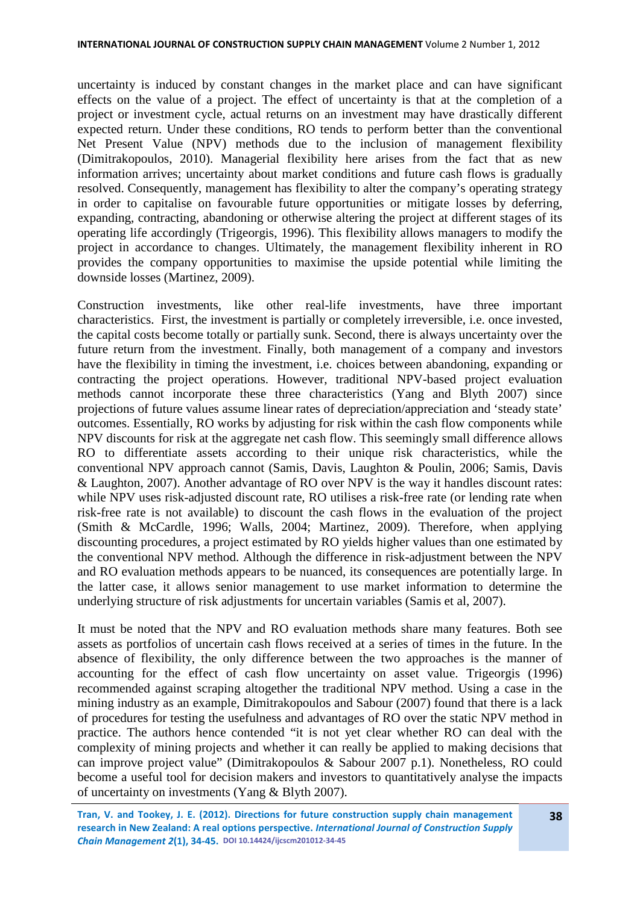uncertainty is induced by constant changes in the market place and can have significant effects on the value of a project. The effect of uncertainty is that at the completion of a project or investment cycle, actual returns on an investment may have drastically different expected return. Under these conditions, RO tends to perform better than the conventional Net Present Value (NPV) methods due to the inclusion of management flexibility (Dimitrakopoulos, 2010). Managerial flexibility here arises from the fact that as new information arrives; uncertainty about market conditions and future cash flows is gradually resolved. Consequently, management has flexibility to alter the company's operating strategy in order to capitalise on favourable future opportunities or mitigate losses by deferring, expanding, contracting, abandoning or otherwise altering the project at different stages of its operating life accordingly (Trigeorgis, 1996). This flexibility allows managers to modify the project in accordance to changes. Ultimately, the management flexibility inherent in RO provides the company opportunities to maximise the upside potential while limiting the downside losses (Martinez, 2009).

Construction investments, like other real-life investments, have three important characteristics. First, the investment is partially or completely irreversible, i.e. once invested, the capital costs become totally or partially sunk. Second, there is always uncertainty over the future return from the investment. Finally, both management of a company and investors have the flexibility in timing the investment, i.e. choices between abandoning, expanding or contracting the project operations. However, traditional NPV-based project evaluation methods cannot incorporate these three characteristics (Yang and Blyth 2007) since projections of future values assume linear rates of depreciation/appreciation and 'steady state' outcomes. Essentially, RO works by adjusting for risk within the cash flow components while NPV discounts for risk at the aggregate net cash flow. This seemingly small difference allows RO to differentiate assets according to their unique risk characteristics, while the conventional NPV approach cannot (Samis, Davis, Laughton & Poulin, 2006; Samis, Davis & Laughton, 2007). Another advantage of RO over NPV is the way it handles discount rates: while NPV uses risk-adjusted discount rate, RO utilises a risk-free rate (or lending rate when risk-free rate is not available) to discount the cash flows in the evaluation of the project (Smith & McCardle, 1996; Walls, 2004; Martinez, 2009). Therefore, when applying discounting procedures, a project estimated by RO yields higher values than one estimated by the conventional NPV method. Although the difference in risk-adjustment between the NPV and RO evaluation methods appears to be nuanced, its consequences are potentially large. In the latter case, it allows senior management to use market information to determine the underlying structure of risk adjustments for uncertain variables (Samis et al, 2007).

It must be noted that the NPV and RO evaluation methods share many features. Both see assets as portfolios of uncertain cash flows received at a series of times in the future. In the absence of flexibility, the only difference between the two approaches is the manner of accounting for the effect of cash flow uncertainty on asset value. Trigeorgis (1996) recommended against scraping altogether the traditional NPV method. Using a case in the mining industry as an example, Dimitrakopoulos and Sabour (2007) found that there is a lack of procedures for testing the usefulness and advantages of RO over the static NPV method in practice. The authors hence contended "it is not yet clear whether RO can deal with the complexity of mining projects and whether it can really be applied to making decisions that can improve project value" (Dimitrakopoulos & Sabour 2007 p.1). Nonetheless, RO could become a useful tool for decision makers and investors to quantitatively analyse the impacts of uncertainty on investments (Yang & Blyth 2007).

**Tran, V. and Tookey, J. E. (2012). Directions for future construction supply chain management research in New Zealand: A real options perspective.** *International Journal of Construction Supply Chain Management 2***(1), 34-45. DOI 10.14424/ijcscm201012-34-45**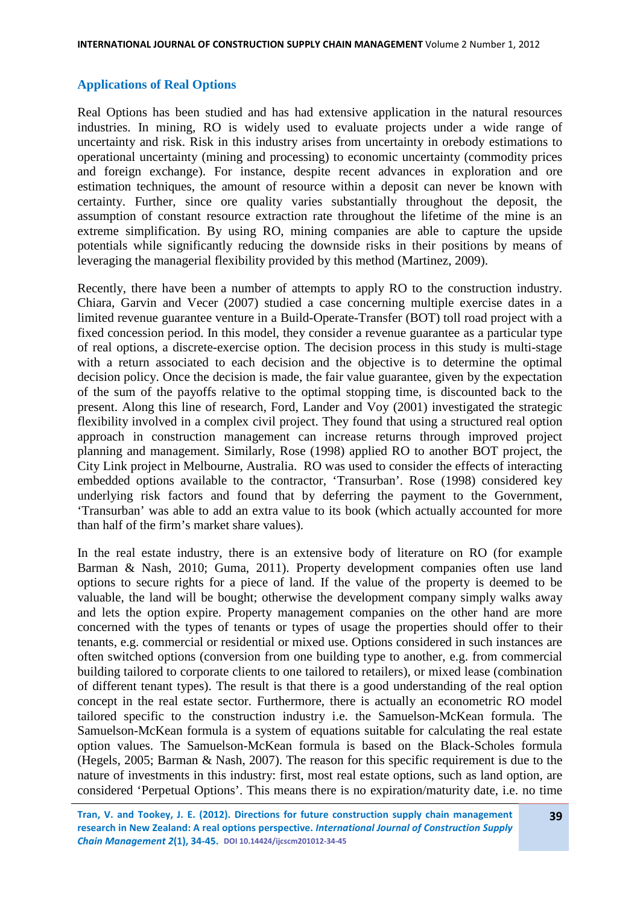### **Applications of Real Options**

Real Options has been studied and has had extensive application in the natural resources industries. In mining, RO is widely used to evaluate projects under a wide range of uncertainty and risk. Risk in this industry arises from uncertainty in orebody estimations to operational uncertainty (mining and processing) to economic uncertainty (commodity prices and foreign exchange). For instance, despite recent advances in exploration and ore estimation techniques, the amount of resource within a deposit can never be known with certainty. Further, since ore quality varies substantially throughout the deposit, the assumption of constant resource extraction rate throughout the lifetime of the mine is an extreme simplification. By using RO, mining companies are able to capture the upside potentials while significantly reducing the downside risks in their positions by means of leveraging the managerial flexibility provided by this method (Martinez, 2009).

Recently, there have been a number of attempts to apply RO to the construction industry. Chiara, Garvin and Vecer (2007) studied a case concerning multiple exercise dates in a limited revenue guarantee venture in a Build-Operate-Transfer (BOT) toll road project with a fixed concession period. In this model, they consider a revenue guarantee as a particular type of real options, a discrete-exercise option. The decision process in this study is multi-stage with a return associated to each decision and the objective is to determine the optimal decision policy. Once the decision is made, the fair value guarantee, given by the expectation of the sum of the payoffs relative to the optimal stopping time, is discounted back to the present. Along this line of research, Ford, Lander and Voy (2001) investigated the strategic flexibility involved in a complex civil project. They found that using a structured real option approach in construction management can increase returns through improved project planning and management. Similarly, Rose (1998) applied RO to another BOT project, the City Link project in Melbourne, Australia. RO was used to consider the effects of interacting embedded options available to the contractor, 'Transurban'. Rose (1998) considered key underlying risk factors and found that by deferring the payment to the Government, 'Transurban' was able to add an extra value to its book (which actually accounted for more than half of the firm's market share values).

In the real estate industry, there is an extensive body of literature on RO (for example Barman & Nash, 2010; Guma, 2011). Property development companies often use land options to secure rights for a piece of land. If the value of the property is deemed to be valuable, the land will be bought; otherwise the development company simply walks away and lets the option expire. Property management companies on the other hand are more concerned with the types of tenants or types of usage the properties should offer to their tenants, e.g. commercial or residential or mixed use. Options considered in such instances are often switched options (conversion from one building type to another, e.g. from commercial building tailored to corporate clients to one tailored to retailers), or mixed lease (combination of different tenant types). The result is that there is a good understanding of the real option concept in the real estate sector. Furthermore, there is actually an econometric RO model tailored specific to the construction industry i.e. the Samuelson-McKean formula. The Samuelson-McKean formula is a system of equations suitable for calculating the real estate option values. The Samuelson-McKean formula is based on the Black-Scholes formula (Hegels, 2005; Barman & Nash, 2007). The reason for this specific requirement is due to the nature of investments in this industry: first, most real estate options, such as land option, are considered 'Perpetual Options'. This means there is no expiration/maturity date, i.e. no time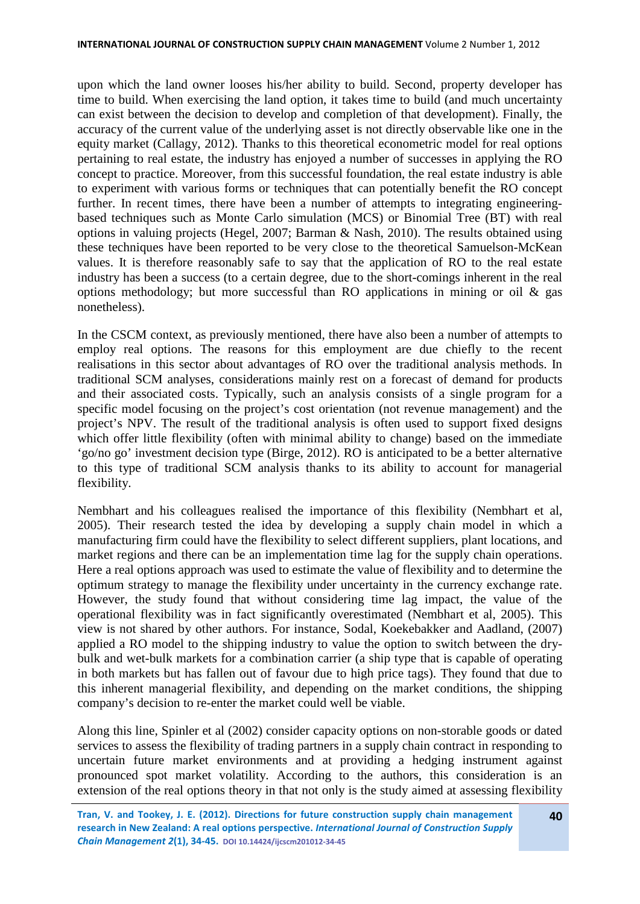upon which the land owner looses his/her ability to build. Second, property developer has time to build. When exercising the land option, it takes time to build (and much uncertainty can exist between the decision to develop and completion of that development). Finally, the accuracy of the current value of the underlying asset is not directly observable like one in the equity market (Callagy, 2012). Thanks to this theoretical econometric model for real options pertaining to real estate, the industry has enjoyed a number of successes in applying the RO concept to practice. Moreover, from this successful foundation, the real estate industry is able to experiment with various forms or techniques that can potentially benefit the RO concept further. In recent times, there have been a number of attempts to integrating engineeringbased techniques such as Monte Carlo simulation (MCS) or Binomial Tree (BT) with real options in valuing projects (Hegel, 2007; Barman & Nash, 2010). The results obtained using these techniques have been reported to be very close to the theoretical Samuelson-McKean values. It is therefore reasonably safe to say that the application of RO to the real estate industry has been a success (to a certain degree, due to the short-comings inherent in the real options methodology; but more successful than RO applications in mining or oil  $\&$  gas nonetheless).

In the CSCM context, as previously mentioned, there have also been a number of attempts to employ real options. The reasons for this employment are due chiefly to the recent realisations in this sector about advantages of RO over the traditional analysis methods. In traditional SCM analyses, considerations mainly rest on a forecast of demand for products and their associated costs. Typically, such an analysis consists of a single program for a specific model focusing on the project's cost orientation (not revenue management) and the project's NPV. The result of the traditional analysis is often used to support fixed designs which offer little flexibility (often with minimal ability to change) based on the immediate 'go/no go' investment decision type (Birge, 2012). RO is anticipated to be a better alternative to this type of traditional SCM analysis thanks to its ability to account for managerial flexibility.

Nembhart and his colleagues realised the importance of this flexibility (Nembhart et al, 2005). Their research tested the idea by developing a supply chain model in which a manufacturing firm could have the flexibility to select different suppliers, plant locations, and market regions and there can be an implementation time lag for the supply chain operations. Here a real options approach was used to estimate the value of flexibility and to determine the optimum strategy to manage the flexibility under uncertainty in the currency exchange rate. However, the study found that without considering time lag impact, the value of the operational flexibility was in fact significantly overestimated (Nembhart et al, 2005). This view is not shared by other authors. For instance, Sodal, Koekebakker and Aadland, (2007) applied a RO model to the shipping industry to value the option to switch between the drybulk and wet-bulk markets for a combination carrier (a ship type that is capable of operating in both markets but has fallen out of favour due to high price tags). They found that due to this inherent managerial flexibility, and depending on the market conditions, the shipping company's decision to re-enter the market could well be viable.

Along this line, Spinler et al (2002) consider capacity options on non-storable goods or dated services to assess the flexibility of trading partners in a supply chain contract in responding to uncertain future market environments and at providing a hedging instrument against pronounced spot market volatility. According to the authors, this consideration is an extension of the real options theory in that not only is the study aimed at assessing flexibility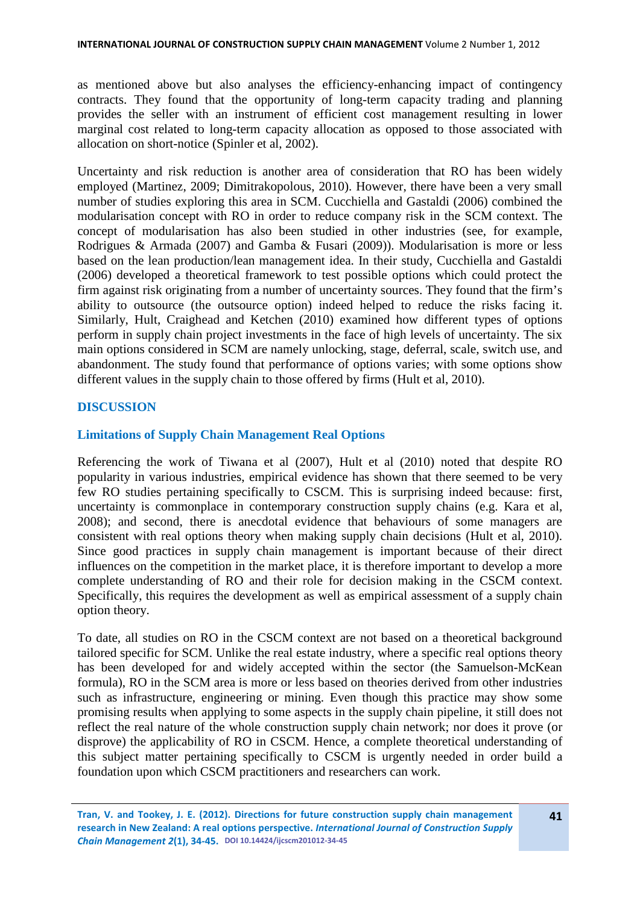as mentioned above but also analyses the efficiency-enhancing impact of contingency contracts. They found that the opportunity of long-term capacity trading and planning provides the seller with an instrument of efficient cost management resulting in lower marginal cost related to long-term capacity allocation as opposed to those associated with allocation on short-notice (Spinler et al, 2002).

Uncertainty and risk reduction is another area of consideration that RO has been widely employed (Martinez, 2009; Dimitrakopolous, 2010). However, there have been a very small number of studies exploring this area in SCM. Cucchiella and Gastaldi (2006) combined the modularisation concept with RO in order to reduce company risk in the SCM context. The concept of modularisation has also been studied in other industries (see, for example, Rodrigues & Armada (2007) and Gamba & Fusari (2009)). Modularisation is more or less based on the lean production/lean management idea. In their study, Cucchiella and Gastaldi (2006) developed a theoretical framework to test possible options which could protect the firm against risk originating from a number of uncertainty sources. They found that the firm's ability to outsource (the outsource option) indeed helped to reduce the risks facing it. Similarly, Hult, Craighead and Ketchen (2010) examined how different types of options perform in supply chain project investments in the face of high levels of uncertainty. The six main options considered in SCM are namely unlocking, stage, deferral, scale, switch use, and abandonment. The study found that performance of options varies; with some options show different values in the supply chain to those offered by firms (Hult et al, 2010).

# **DISCUSSION**

### **Limitations of Supply Chain Management Real Options**

Referencing the work of Tiwana et al (2007), Hult et al (2010) noted that despite RO popularity in various industries, empirical evidence has shown that there seemed to be very few RO studies pertaining specifically to CSCM. This is surprising indeed because: first, uncertainty is commonplace in contemporary construction supply chains (e.g. Kara et al, 2008); and second, there is anecdotal evidence that behaviours of some managers are consistent with real options theory when making supply chain decisions (Hult et al, 2010). Since good practices in supply chain management is important because of their direct influences on the competition in the market place, it is therefore important to develop a more complete understanding of RO and their role for decision making in the CSCM context. Specifically, this requires the development as well as empirical assessment of a supply chain option theory.

To date, all studies on RO in the CSCM context are not based on a theoretical background tailored specific for SCM. Unlike the real estate industry, where a specific real options theory has been developed for and widely accepted within the sector (the Samuelson-McKean formula), RO in the SCM area is more or less based on theories derived from other industries such as infrastructure, engineering or mining. Even though this practice may show some promising results when applying to some aspects in the supply chain pipeline, it still does not reflect the real nature of the whole construction supply chain network; nor does it prove (or disprove) the applicability of RO in CSCM. Hence, a complete theoretical understanding of this subject matter pertaining specifically to CSCM is urgently needed in order build a foundation upon which CSCM practitioners and researchers can work.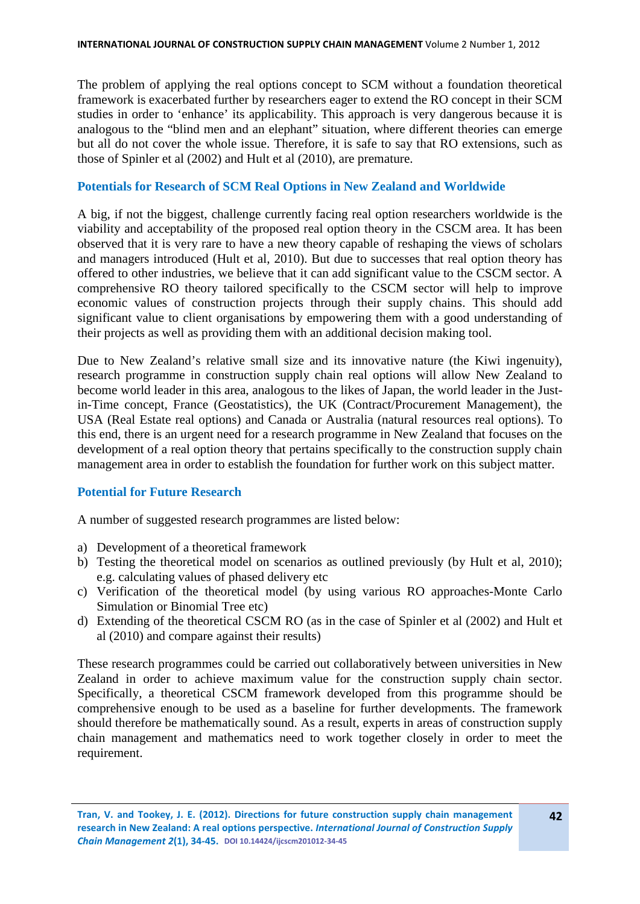The problem of applying the real options concept to SCM without a foundation theoretical framework is exacerbated further by researchers eager to extend the RO concept in their SCM studies in order to 'enhance' its applicability. This approach is very dangerous because it is analogous to the "blind men and an elephant" situation, where different theories can emerge but all do not cover the whole issue. Therefore, it is safe to say that RO extensions, such as those of Spinler et al (2002) and Hult et al (2010), are premature.

## **Potentials for Research of SCM Real Options in New Zealand and Worldwide**

A big, if not the biggest, challenge currently facing real option researchers worldwide is the viability and acceptability of the proposed real option theory in the CSCM area. It has been observed that it is very rare to have a new theory capable of reshaping the views of scholars and managers introduced (Hult et al, 2010). But due to successes that real option theory has offered to other industries, we believe that it can add significant value to the CSCM sector. A comprehensive RO theory tailored specifically to the CSCM sector will help to improve economic values of construction projects through their supply chains. This should add significant value to client organisations by empowering them with a good understanding of their projects as well as providing them with an additional decision making tool.

Due to New Zealand's relative small size and its innovative nature (the Kiwi ingenuity), research programme in construction supply chain real options will allow New Zealand to become world leader in this area, analogous to the likes of Japan, the world leader in the Justin-Time concept, France (Geostatistics), the UK (Contract/Procurement Management), the USA (Real Estate real options) and Canada or Australia (natural resources real options). To this end, there is an urgent need for a research programme in New Zealand that focuses on the development of a real option theory that pertains specifically to the construction supply chain management area in order to establish the foundation for further work on this subject matter.

# **Potential for Future Research**

A number of suggested research programmes are listed below:

- a) Development of a theoretical framework
- b) Testing the theoretical model on scenarios as outlined previously (by Hult et al, 2010); e.g. calculating values of phased delivery etc
- c) Verification of the theoretical model (by using various RO approaches-Monte Carlo Simulation or Binomial Tree etc)
- d) Extending of the theoretical CSCM RO (as in the case of Spinler et al (2002) and Hult et al (2010) and compare against their results)

These research programmes could be carried out collaboratively between universities in New Zealand in order to achieve maximum value for the construction supply chain sector. Specifically, a theoretical CSCM framework developed from this programme should be comprehensive enough to be used as a baseline for further developments. The framework should therefore be mathematically sound. As a result, experts in areas of construction supply chain management and mathematics need to work together closely in order to meet the requirement.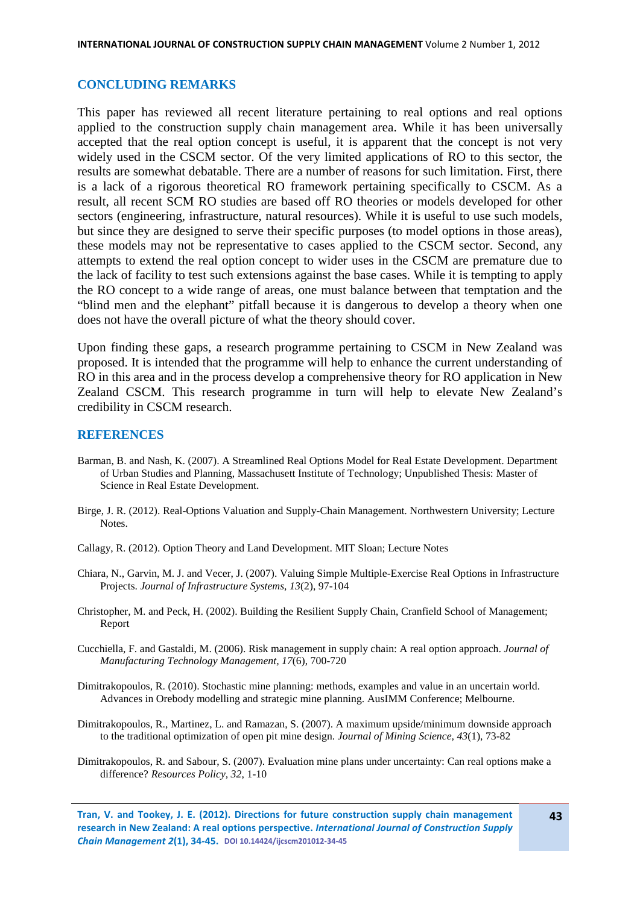#### **CONCLUDING REMARKS**

This paper has reviewed all recent literature pertaining to real options and real options applied to the construction supply chain management area. While it has been universally accepted that the real option concept is useful, it is apparent that the concept is not very widely used in the CSCM sector. Of the very limited applications of RO to this sector, the results are somewhat debatable. There are a number of reasons for such limitation. First, there is a lack of a rigorous theoretical RO framework pertaining specifically to CSCM. As a result, all recent SCM RO studies are based off RO theories or models developed for other sectors (engineering, infrastructure, natural resources). While it is useful to use such models, but since they are designed to serve their specific purposes (to model options in those areas), these models may not be representative to cases applied to the CSCM sector. Second, any attempts to extend the real option concept to wider uses in the CSCM are premature due to the lack of facility to test such extensions against the base cases. While it is tempting to apply the RO concept to a wide range of areas, one must balance between that temptation and the "blind men and the elephant" pitfall because it is dangerous to develop a theory when one does not have the overall picture of what the theory should cover.

Upon finding these gaps, a research programme pertaining to CSCM in New Zealand was proposed. It is intended that the programme will help to enhance the current understanding of RO in this area and in the process develop a comprehensive theory for RO application in New Zealand CSCM. This research programme in turn will help to elevate New Zealand's credibility in CSCM research.

#### **REFERENCES**

- Barman, B. and Nash, K. (2007). A Streamlined Real Options Model for Real Estate Development. Department of Urban Studies and Planning, Massachusett Institute of Technology; Unpublished Thesis: Master of Science in Real Estate Development.
- Birge, J. R. (2012). Real-Options Valuation and Supply-Chain Management. Northwestern University; Lecture Notes.
- Callagy, R. (2012). Option Theory and Land Development. MIT Sloan; Lecture Notes
- Chiara, N., Garvin, M. J. and Vecer, J. (2007). Valuing Simple Multiple-Exercise Real Options in Infrastructure Projects. *Journal of Infrastructure Systems, 13*(2), 97-104
- Christopher, M. and Peck, H. (2002). Building the Resilient Supply Chain, Cranfield School of Management; Report
- Cucchiella, F. and Gastaldi, M. (2006). Risk management in supply chain: A real option approach. *Journal of Manufacturing Technology Management, 17*(6), 700-720
- Dimitrakopoulos, R. (2010). Stochastic mine planning: methods, examples and value in an uncertain world. Advances in Orebody modelling and strategic mine planning. AusIMM Conference; Melbourne.
- Dimitrakopoulos, R., Martinez, L. and Ramazan, S. (2007). A maximum upside/minimum downside approach to the traditional optimization of open pit mine design. *Journal of Mining Science, 43*(1), 73-82
- Dimitrakopoulos, R. and Sabour, S. (2007). Evaluation mine plans under uncertainty: Can real options make a difference? *Resources Policy, 32*, 1-10

**Tran, V. and Tookey, J. E. (2012). Directions for future construction supply chain management research in New Zealand: A real options perspective.** *International Journal of Construction Supply Chain Management 2***(1), 34-45. DOI 10.14424/ijcscm201012-34-45**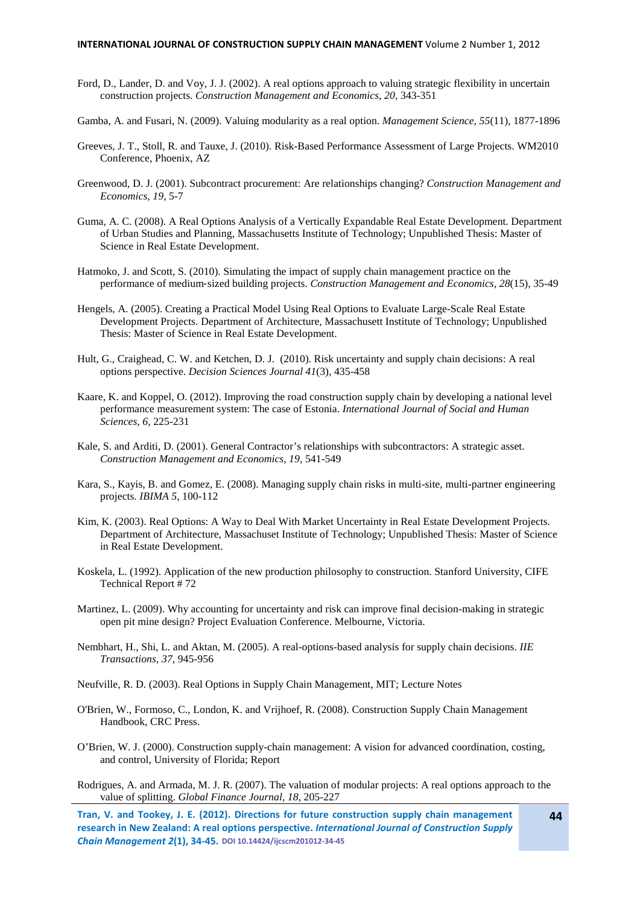- Ford, D., Lander, D. and Voy, J. J. (2002). A real options approach to valuing strategic flexibility in uncertain construction projects. *Construction Management and Economics, 20,* 343-351
- Gamba, A. and Fusari, N. (2009). Valuing modularity as a real option. *Management Science, 55*(11), 1877-1896
- Greeves, J. T., Stoll, R. and Tauxe, J. (2010). Risk-Based Performance Assessment of Large Projects. WM2010 Conference, Phoenix, AZ
- Greenwood, D. J. (2001). Subcontract procurement: Are relationships changing? *Construction Management and Economics, 19,* 5-7
- Guma, A. C. (2008). A Real Options Analysis of a Vertically Expandable Real Estate Development. Department of Urban Studies and Planning, Massachusetts Institute of Technology; Unpublished Thesis: Master of Science in Real Estate Development.
- Hatmoko, J. and Scott, S. (2010). Simulating the impact of supply chain management practice on the performance of medium‐sized building projects. *Construction Management and Economics, 28*(15), 35-49
- Hengels, A. (2005). Creating a Practical Model Using Real Options to Evaluate Large-Scale Real Estate Development Projects. Department of Architecture, Massachusett Institute of Technology; Unpublished Thesis: Master of Science in Real Estate Development.
- Hult, G., Craighead, C. W. and Ketchen, D. J. (2010). Risk uncertainty and supply chain decisions: A real options perspective. *Decision Sciences Journal 41*(3), 435-458
- Kaare, K. and Koppel, O. (2012). Improving the road construction supply chain by developing a national level performance measurement system: The case of Estonia. *International Journal of Social and Human Sciences, 6,* 225-231
- Kale, S. and Arditi, D. (2001). General Contractor's relationships with subcontractors: A strategic asset. *Construction Management and Economics, 19,* 541-549
- Kara, S., Kayis, B. and Gomez, E. (2008). Managing supply chain risks in multi-site, multi-partner engineering projects. *IBIMA 5*, 100-112
- Kim, K. (2003). Real Options: A Way to Deal With Market Uncertainty in Real Estate Development Projects. Department of Architecture, Massachuset Institute of Technology; Unpublished Thesis: Master of Science in Real Estate Development.
- Koskela, L. (1992). Application of the new production philosophy to construction. Stanford University, CIFE Technical Report # 72
- Martinez, L. (2009). Why accounting for uncertainty and risk can improve final decision-making in strategic open pit mine design? Project Evaluation Conference. Melbourne, Victoria.
- Nembhart, H., Shi, L. and Aktan, M. (2005). A real-options-based analysis for supply chain decisions. *IIE Transactions, 37*, 945-956
- Neufville, R. D. (2003). Real Options in Supply Chain Management, MIT; Lecture Notes
- O'Brien, W., Formoso, C., London, K. and Vrijhoef, R. (2008). Construction Supply Chain Management Handbook, CRC Press.
- O'Brien, W. J. (2000). Construction supply-chain management: A vision for advanced coordination, costing, and control, University of Florida; Report
- Rodrigues, A. and Armada, M. J. R. (2007). The valuation of modular projects: A real options approach to the value of splitting. *Global Finance Journal, 18,* 205-227
- **Tran, V. and Tookey, J. E. (2012). Directions for future construction supply chain management research in New Zealand: A real options perspective.** *International Journal of Construction Supply Chain Management 2***(1), 34-45. DOI 10.14424/ijcscm201012-34-45**